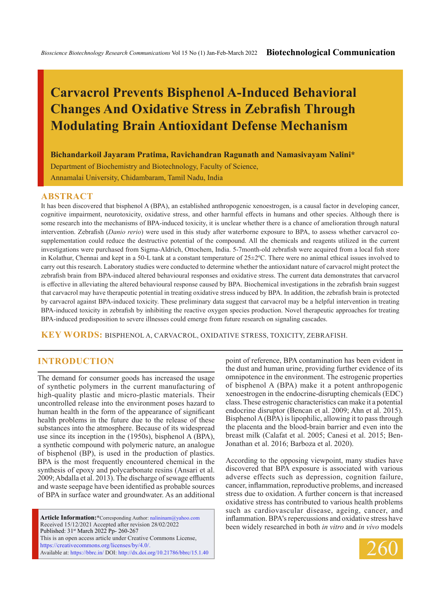# **Carvacrol Prevents Bisphenol A-Induced Behavioral Changes And Oxidative Stress in Zebrafish Through Modulating Brain Antioxidant Defense Mechanism**

#### **Bichandarkoil Jayaram Pratima, Ravichandran Ragunath and Namasivayam Nalini\***

Department of Biochemistry and Biotechnology, Faculty of Science, Annamalai University, Chidambaram, Tamil Nadu, India

### **ABSTRACT**

It has been discovered that bisphenol A (BPA), an established anthropogenic xenoestrogen, is a causal factor in developing cancer, cognitive impairment, neurotoxicity, oxidative stress, and other harmful effects in humans and other species. Although there is some research into the mechanisms of BPA-induced toxicity, it is unclear whether there is a chance of amelioration through natural intervention. Zebrafish (*Danio rerio*) were used in this study after waterborne exposure to BPA, to assess whether carvacrol cosupplementation could reduce the destructive potential of the compound. All the chemicals and reagents utilized in the current investigations were purchased from Sigma-Aldrich, Ottochem, India. 5-7month-old zebrafish were acquired from a local fish store in Kolathur, Chennai and kept in a 50-L tank at a constant temperature of 25±2ºC. There were no animal ethical issues involved to carry out this research. Laboratory studies were conducted to determine whether the antioxidant nature of carvacrol might protect the zebrafish brain from BPA-induced altered behavioural responses and oxidative stress. The current data demonstrates that carvacrol is effective in alleviating the altered behavioural response caused by BPA. Biochemical investigations in the zebrafish brain suggest that carvacrol may have therapeutic potential in treating oxidative stress induced by BPA. In addition, the zebrafish brain is protected by carvacrol against BPA-induced toxicity. These preliminary data suggest that carvacrol may be a helpful intervention in treating BPA-induced toxicity in zebrafish by inhibiting the reactive oxygen species production. Novel therapeutic approaches for treating BPA-induced predisposition to severe illnesses could emerge from future research on signaling cascades.

**KEY WORDS:** Bisphenol A, Carvacrol, Oxidative stress, Toxicity, Zebrafish.

## **INTRODUCTION**

The demand for consumer goods has increased the usage of synthetic polymers in the current manufacturing of high-quality plastic and micro-plastic materials. Their uncontrolled release into the environment poses hazard to human health in the form of the appearance of significant health problems in the future due to the release of these substances into the atmosphere. Because of its widespread use since its inception in the (1950s), bisphenol A (BPA), a synthetic compound with polymeric nature, an analogue of bisphenol (BP), is used in the production of plastics. BPA is the most frequently encountered chemical in the synthesis of epoxy and polycarbonate resins (Ansari et al. 2009; Abdalla et al. 2013). The discharge of sewage effluents and waste seepage have been identified as probable sources of BPA in surface water and groundwater. As an additional

**Article Information:\***Corresponding Author: nalininam@yahoo.com Received 15/12/2021 Accepted after revision 28/02/2022 Published: 31<sup>st</sup> March 2022 Pp- 260-267 This is an open access article under Creative Commons License, https://creativecommons.org/licenses/by/4.0/. Available at: https://bbrc.in/ DOI: http://dx.doi.org/10.21786/bbrc/15.1.40 point of reference, BPA contamination has been evident in the dust and human urine, providing further evidence of its omnipotence in the environment. The estrogenic properties of bisphenol A (BPA) make it a potent anthropogenic xenoestrogen in the endocrine-disrupting chemicals (EDC) class. These estrogenic characteristics can make it a potential endocrine disruptor (Bencan et al. 2009; Ahn et al. 2015). Bisphenol A (BPA) is lipophilic, allowing it to pass through the placenta and the blood-brain barrier and even into the breast milk (Calafat et al. 2005; Canesi et al. 2015; Ben-Jonathan et al. 2016; Barboza et al. 2020).

According to the opposing viewpoint, many studies have discovered that BPA exposure is associated with various adverse effects such as depression, cognition failure, cancer, inflammation, reproductive problems, and increased stress due to oxidation. A further concern is that increased oxidative stress has contributed to various health problems such as cardiovascular disease, ageing, cancer, and inflammation. BPA's repercussions and oxidative stress have been widely researched in both *in vitro* and *in vivo* models

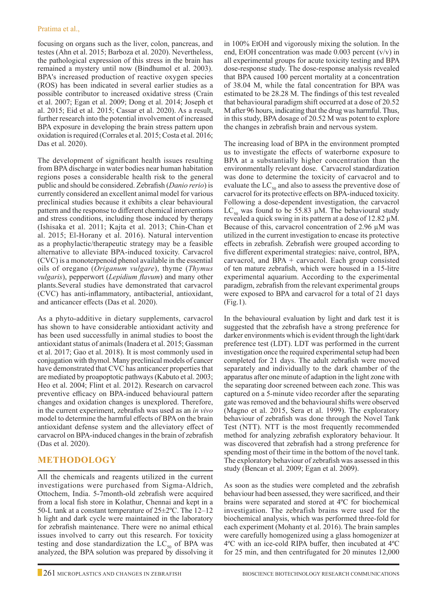focusing on organs such as the liver, colon, pancreas, and testes (Ahn et al. 2015; Barboza et al. 2020). Nevertheless, the pathological expression of this stress in the brain has remained a mystery until now (Bindhumol et al. 2003). BPA's increased production of reactive oxygen species (ROS) has been indicated in several earlier studies as a possible contributor to increased oxidative stress (Crain et al. 2007; Egan et al. 2009; Dong et al. 2014; Joseph et al. 2015; Eid et al. 2015; Cassar et al. 2020). As a result, further research into the potential involvement of increased BPA exposure in developing the brain stress pattern upon oxidation is required (Corrales et al. 2015; Costa et al. 2016; Das et al. 2020).

The development of significant health issues resulting from BPA discharge in water bodies near human habitation regions poses a considerable health risk to the general public and should be considered. Zebrafish (*Danio rerio*) is currently considered an excellent animal model for various preclinical studies because it exhibits a clear behavioural pattern and the response to different chemical interventions and stress conditions, including those induced by therapy (Ishisaka et al. 2011; Kajta et al. 2013; Chin-Chan et al. 2015; El-Horany et al. 2016). Natural intervention as a prophylactic/therapeutic strategy may be a feasible alternative to alleviate BPA-induced toxicity. Carvacrol (CVC) is a monoterpenoid phenol available in the essential oils of oregano (*Origanum vulgare*), thyme (*Thymus vulgaris*), pepperwort (*Lepidium flavum*) and many other plants.Several studies have demonstrated that carvacrol (CVC) has anti-inflammatory, antibacterial, antioxidant, and anticancer effects (Das et al. 2020).

As a phyto-additive in dietary supplements, carvacrol has shown to have considerable antioxidant activity and has been used successfully in animal studies to boost the antioxidant status of animals (Inadera et al. 2015; Gassman et al. 2017; Gao et al. 2018). It is most commonly used in conjugation with thymol. Many preclinical models of cancer have demonstrated that CVC has anticancer properties that are mediated by proapoptotic pathways (Kabuto et al. 2003; Heo et al. 2004; Flint et al. 2012). Research on carvacrol preventive efficacy on BPA-induced behavioural pattern changes and oxidation changes is unexplored. Therefore, in the current experiment, zebrafish was used as an *in vivo*  model to determine the harmful effects of BPA on the brain antioxidant defense system and the alleviatory effect of carvacrol on BPA-induced changes in the brain of zebrafish (Das et al. 2020).

## **Methodology**

All the chemicals and reagents utilized in the current investigations were purchased from Sigma-Aldrich, Ottochem, India. 5-7month-old zebrafish were acquired from a local fish store in Kolathur, Chennai and kept in a 50-L tank at a constant temperature of 25±2ºC. The 12–12 h light and dark cycle were maintained in the laboratory for zebrafish maintenance. There were no animal ethical issues involved to carry out this research. For toxicity testing and dose standardization the  $LC_{50}$  of BPA was analyzed, the BPA solution was prepared by dissolving it in 100% EtOH and vigorously mixing the solution. In the end, EtOH concentration was made 0.003 percent (v/v) in all experimental groups for acute toxicity testing and BPA dose-response study. The dose-response analysis revealed that BPA caused 100 percent mortality at a concentration of 38.04 M, while the fatal concentration for BPA was estimated to be 28.28 M. The findings of this test revealed that behavioural paradigm shift occurred at a dose of 20.52 M after 96 hours, indicating that the drug was harmful. Thus, in this study, BPA dosage of 20.52 M was potent to explore the changes in zebrafish brain and nervous system.

The increasing load of BPA in the environment prompted us to investigate the effects of waterborne exposure to BPA at a substantially higher concentration than the environmentally relevant dose. Carvacrol standardization was done to determine the toxicity of carvacrol and to evaluate the  $LC_{50}$  and also to assess the preventive dose of carvacrol for its protective effects on BPA-induced toxicity. Following a dose-dependent investigation, the carvacrol  $LC_{50}$  was found to be 55.83 µM. The behavioural study revealed a quick swing in its pattern at a dose of 12.82 µM. Because of this, carvacrol concentration of 2.96  $\mu$ M was utilized in the current investigation to encase its protective effects in zebrafish. Zebrafish were grouped according to five different experimental strategies: naive, control, BPA, carvacrol, and BPA + carvacrol. Each group consisted of ten mature zebrafish, which were housed in a 15-litre experimental aquarium. According to the experimental paradigm, zebrafish from the relevant experimental groups were exposed to BPA and carvacrol for a total of 21 days (Fig.1).

In the behavioural evaluation by light and dark test it is suggested that the zebrafish have a strong preference for darker environments which is evident through the light/dark preference test (LDT). LDT was performed in the current investigation once the required experimental setup had been completed for 21 days. The adult zebrafish were moved separately and individually to the dark chamber of the apparatus after one minute of adaption in the light zone with the separating door screened between each zone. This was captured on a 5-minute video recorder after the separating gate was removed and the behavioural shifts were observed (Magno et al. 2015, Sera et al. 1999). The exploratory behaviour of zebrafish was done through the Novel Tank Test (NTT). NTT is the most frequently recommended method for analyzing zebrafish exploratory behaviour. It was discovered that zebrafish had a strong preference for spending most of their time in the bottom of the novel tank. The exploratory behaviour of zebrafish was assessed in this study (Bencan et al. 2009; Egan et al. 2009).

As soon as the studies were completed and the zebrafish behaviour had been assessed, they were sacrificed, and their brains were separated and stored at 4ºC for biochemical investigation. The zebrafish brains were used for the biochemical analysis, which was performed three-fold for each experiment (Mohanty et al. 2016). The brain samples were carefully homogenized using a glass homogenizer at 4ºC with an ice-cold RIPA buffer, then incubated at 4ºC for 25 min, and then centrifugated for 20 minutes 12,000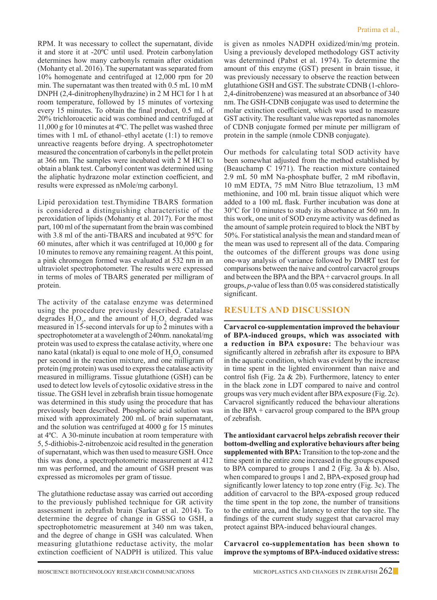RPM. It was necessary to collect the supernatant, divide it and store it at -20ºC until used. Protein carbonylation determines how many carbonyls remain after oxidation (Mohanty et al. 2016). The supernatant was separated from 10% homogenate and centrifuged at 12,000 rpm for 20 min. The supernatant was then treated with 0.5 mL 10 mM DNPH (2,4-dinitrophenylhydrazine) in 2 M HCl for 1 h at room temperature, followed by 15 minutes of vortexing every 15 minutes. To obtain the final product, 0.5 mL of 20% trichloroacetic acid was combined and centrifuged at 11,000 g for 10 minutes at 4ºC. The pellet was washed three times with 1 mL of ethanol–ethyl acetate (1:1) to remove unreactive reagents before drying. A spectrophotometer measured the concentration of carbonyls in the pellet protein at 366 nm. The samples were incubated with 2 M HCl to obtain a blank test. Carbonyl content was determined using the aliphatic hydrazone molar extinction coefficient, and results were expressed as nMole/mg carbonyl.

Lipid peroxidation test.Thymidine TBARS formation is considered a distinguishing characteristic of the peroxidation of lipids (Mohanty et al. 2017). For the most part, 100 ml of the supernatant from the brain was combined with 3.8 ml of the anti-TBARS and incubated at 95ºC for 60 minutes, after which it was centrifuged at 10,000 g for 10 minutes to remove any remaining reagent. At this point, a pink chromogen formed was evaluated at 532 nm in an ultraviolet spectrophotometer. The results were expressed in terms of moles of TBARS generated per milligram of protein.

The activity of the catalase enzyme was determined using the procedure previously described. Catalase degrades  $H_2O_2$ , and the amount of  $H_2O_2$  degraded was measured in 15-second intervals for up to 2 minutes with a spectrophotometer at a wavelength of 240nm. nanokatal/mg protein was used to express the catalase activity, where one nano katal (nkatal) is equal to one mole of  $H_2O_2$  consumed per second in the reaction mixture, and one milligram of protein (mg protein) was used to express the catalase activity measured in milligrams. Tissue glutathione (GSH) can be used to detect low levels of cytosolic oxidative stress in the tissue. The GSH level in zebrafish brain tissue homogenate was determined in this study using the procedure that has previously been described. Phosphoric acid solution was mixed with approximately 200 mL of brain supernatant, and the solution was centrifuged at 4000 g for 15 minutes at 4ºC. A 30-minute incubation at room temperature with 5, 5-dithiobis-2-nitrobenzoic acid resulted in the generation of supernatant, which was then used to measure GSH. Once this was done, a spectrophotometric measurement at 412 nm was performed, and the amount of GSH present was expressed as micromoles per gram of tissue.

The glutathione reductase assay was carried out according to the previously published technique for GR activity assessment in zebrafish brain (Sarkar et al. 2014). To determine the degree of change in GSSG to GSH, a spectrophotometric measurement at 340 nm was taken, and the degree of change in GSH was calculated. When measuring glutathione reductase activity, the molar extinction coefficient of NADPH is utilized. This value

is given as nmoles NADPH oxidized/min/mg protein. Using a previously developed methodology GST activity was determined (Pabst et al. 1974). To determine the amount of this enzyme (GST) present in brain tissue, it was previously necessary to observe the reaction between glutathione GSH and GST. The substrate CDNB (1-chloro-2,4-dinitrobenzene) was measured at an absorbance of 340 nm. The GSH-CDNB conjugate was used to determine the molar extinction coefficient, which was used to measure GST activity. The resultant value was reported as nanomoles of CDNB conjugate formed per minute per milligram of protein in the sample (nmole CDNB conjugate).

Our methods for calculating total SOD activity have been somewhat adjusted from the method established by (Beauchamp C 1971). The reaction mixture contained 2.9 mL 50 mM Na-phosphate buffer, 2 mM riboflavin, 10 mM EDTA, 75 mM Nitro Blue tetrazolium, 13 mM methionine, and 100 mL brain tissue aliquot which were added to a 100 mL flask. Further incubation was done at 30°C for 10 minutes to study its absorbance at 560 nm. In this work, one unit of SOD enzyme activity was defined as the amount of sample protein required to block the NBT by 50%. For statistical analysis the mean and standard mean of the mean was used to represent all of the data. Comparing the outcomes of the different groups was done using one-way analysis of variance followed by DMRT test for comparisons between the naive and control carvacrol groups and between the BPA and the BPA + carvacrol groups. In all groups, *p*-value of less than 0.05 was considered statistically significant.

## **Results and Discussion**

**Carvacrol co-supplementation improved the behaviour of BPA-induced groups, which was associated with a reduction in BPA exposure:** The behaviour was significantly altered in zebrafish after its exposure to BPA in the aquatic condition, which was evident by the increase in time spent in the lighted environment than naive and control fish (Fig. 2a & 2b). Furthermore, latency to enter in the black zone in LDT compared to naive and control groups was very much evident after BPA exposure (Fig. 2c). Carvacrol significantly reduced the behaviour alterations in the BPA + carvacrol group compared to the BPA group of zebrafish.

**The antioxidant carvacrol helps zebrafish recover their bottom-dwelling and explorative behaviours after being supplemented with BPA:** Transition to the top-zone and the time spent in the entire zone increased in the groups exposed to BPA compared to groups 1 and 2 (Fig. 3a & b). Also, when compared to groups 1 and 2, BPA-exposed group had significantly lower latency to top zone entry (Fig. 3c). The addition of carvacrol to the BPA-exposed group reduced the time spent in the top zone, the number of transitions to the entire area, and the latency to enter the top site. The findings of the current study suggest that carvacrol may protect against BPA-induced behavioural changes.

**Carvacrol co-supplementation has been shown to improve the symptoms of BPA-induced oxidative stress:**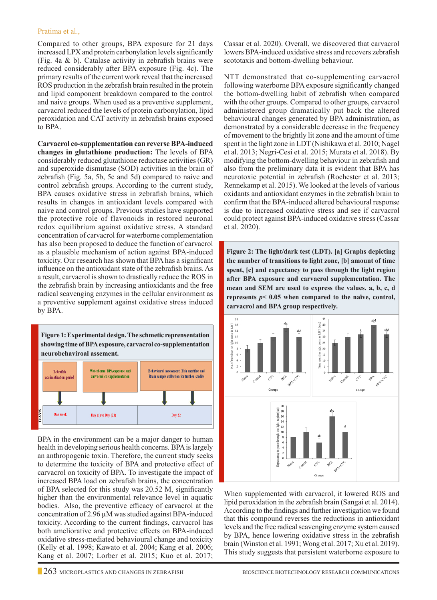#### Pratima et al.,

Compared to other groups, BPA exposure for 21 days increased LPX and protein carbonylation levels significantly (Fig. 4a & b). Catalase activity in zebrafish brains were reduced considerably after BPA exposure (Fig. 4c). The primary results of the current work reveal that the increased ROS production in the zebrafish brain resulted in the protein and lipid component breakdown compared to the control and naive groups. When used as a preventive supplement, carvacrol reduced the levels of protein carbonylation, lipid peroxidation and CAT activity in zebrafish brains exposed to BPA.

**Carvacrol co-supplementation can reverse BPA-induced changes in glutathione production:** The levels of BPA considerably reduced glutathione reductase activities (GR) and superoxide dismutase (SOD) activities in the brain of zebrafish (Fig. 5a, 5b, 5c and 5d) compared to naive and control zebrafish groups. According to the current study, BPA causes oxidative stress in zebrafish brains, which results in changes in antioxidant levels compared with naive and control groups. Previous studies have supported the protective role of flavonoids in restored neuronal redox equilibrium against oxidative stress. A standard concentration of carvacrol for waterborne complementation has also been proposed to deduce the function of carvacrol as a plausible mechanism of action against BPA-induced toxicity. Our research has shown that BPA has a significant influence on the antioxidant state of the zebrafish brains. As a result, carvacrol is shown to drastically reduce the ROS in the zebrafish brain by increasing antioxidants and the free radical scavenging enzymes in the cellular environment as a preventive supplement against oxidative stress induced by BPA.

**Figure 1: Experimental design. The schmetic reprensentation showing time of BPA exposure, carvacrol co-supplementation neurobehaviroal assement.**



BPA in the environment can be a major danger to human health in developing serious health concerns. BPA is largely an anthropogenic toxin. Therefore, the current study seeks to determine the toxicity of BPA and protective effect of carvacrol on toxicity of BPA. To investigate the impact of increased BPA load on zebrafish brains, the concentration of BPA selected for this study was 20.52 M, significantly higher than the environmental relevance level in aquatic bodies. Also, the preventive efficacy of carvacrol at the concentration of 2.96 µM was studied against BPA-induced toxicity. According to the current findings, carvacrol has both ameliorative and protective effects on BPA-induced oxidative stress-mediated behavioural change and toxicity (Kelly et al. 1998; Kawato et al. 2004; Kang et al. 2006; Kang et al. 2007; Lorber et al. 2015; Kuo et al. 2017;

Cassar et al. 2020). Overall, we discovered that carvacrol lowers BPA-induced oxidative stress and recovers zebrafish scototaxis and bottom-dwelling behaviour.

NTT demonstrated that co-supplementing carvacrol following waterborne BPA exposure significantly changed the bottom-dwelling habit of zebrafish when compared with the other groups. Compared to other groups, carvacrol administered group dramatically put back the altered behavioural changes generated by BPA administration, as demonstrated by a considerable decrease in the frequency of movement to the brightly lit zone and the amount of time spent in the light zone in LDT (Nishikawa et al. 2010; Nagel et al. 2013; Negri-Cesi et al. 2015; Murata et al. 2018). By modifying the bottom-dwelling behaviour in zebrafish and also from the preliminary data it is evident that BPA has neurotoxic potential in zebrafish (Rochester et al. 2013; Rennekamp et al. 2015). We looked at the levels of various oxidants and antioxidant enzymes in the zebrafish brain to confirm that the BPA-induced altered behavioural response is due to increased oxidative stress and see if carvacrol could protect against BPA-induced oxidative stress (Cassar et al. 2020).

**Figure 2: The light/dark test (LDT). [a] Graphs depicting the number of transitions to light zone, [b] amount of time spent, [c] and expectancy to pass through the light region after BPA exposure and carvacrol supplementation. The mean and SEM are used to express the values. a, b, c, d represents** *p***< 0.05 when compared to the naïve, control, carvacrol and BPA group respectively.**



When supplemented with carvacrol, it lowered ROS and lipid peroxidation in the zebrafish brain (Sangai et al. 2014). According to the findings and further investigation we found that this compound reverses the reductions in antioxidant levels and the free radical scavenging enzyme system caused by BPA, hence lowering oxidative stress in the zebrafish brain (Winston et al. 1991; Wong et al. 2017; Xu et al. 2019). This study suggests that persistent waterborne exposure to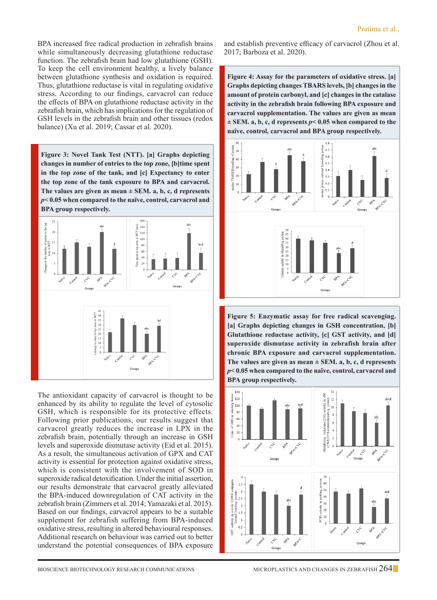BPA increased free radical production in zebrafish brains while simultaneously decreasing glutathione reductase function. The zebrafish brain had low glutathione (GSH). To keep the cell environment healthy, a lively balance between glutathione synthesis and oxidation is required. Thus, glutathione reductase is vital in regulating oxidative stress. According to our findings, carvacrol can reduce the effects of BPA on glutathione reductase activity in the zebrafish brain, which has implications for the regulation of GSH levels in the zebrafish brain and other tissues (redox balance) (Xu et al. 2019; Cassar et al. 2020).

**Figure 3: Novel Tank Test (NTT). [a] Graphs depicting changes in number of entries to the top zone, [b]time spent in the top zone of the tank, and [c] Expectancy to enter the top zone of the tank exposure to BPA and carvacrol.**  The values are given as mean  $\pm$  SEM. a, b, c, d represents *p***< 0.05 when compared to the naïve, control, carvacrol and BPA group respectively.**



The antioxidant capacity of carvacrol is thought to be enhanced by its ability to regulate the level of cytosolic GSH, which is responsible for its protective effects. Following prior publications, our results suggest that carvacrol greatly reduces the increase in LPX in the zebrafish brain, potentially through an increase in GSH levels and superoxide dismutase activity (Eid et al. 2015). As a result, the simultaneous activation of GPX and CAT activity is essential for protection against oxidative stress, which is consistent with the involvement of SOD in superoxide radical detoxification. Under the initial assertion, our results demonstrate that carvacrol greatly alleviated the BPA-induced downregulation of CAT activity in the zebrafish brain (Zimmers et al. 2014; Yamazaki et al. 2015). Based on our findings, carvacrol appears to be a suitable supplement for zebrafish suffering from BPA-induced oxidative stress, resulting in altered behavioural responses. Additional research on behaviour was carried out to better understand the potential consequences of BPA exposure and establish preventive efficacy of carvacrol (Zhou et al. 2017; Barboza et al. 2020).

**Figure 4: Assay for the parameters of oxidative stress. [a] Graphs depicting changes TBARS levels, [b] changes in the amount of protein carbonyl, and [c] changes in the catalase activity in the zebrafish brain following BPA exposure and carvacrol supplementation. The values are given as mean**   $\pm$  SEM. a, b, c, d represents  $p$  < 0.05 when compared to the **naïve, control, carvacrol and BPA group respectively.**



**Figure 5: Enzymatic assay for free radical scavenging. [a] Graphs depicting changes in GSH concentration, [b] Glutathione reductase activity, [c] GST activity, and [d] superoxide dismutase activity in zebrafish brain after chronic BPA exposure and carvacrol supplementation. The values are given as mean ± SEM. a, b, c, d represents**  *p***< 0.05 when compared to the naïve, control, carvacrol and BPA group respectively.**

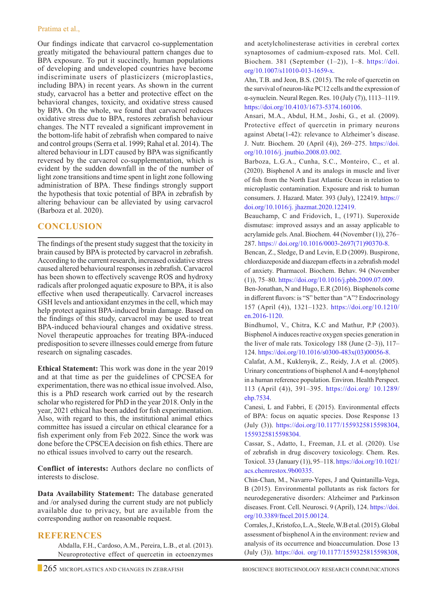#### Pratima et al.,

Our findings indicate that carvacrol co-supplementation greatly mitigated the behavioural pattern changes due to BPA exposure. To put it succinctly, human populations of developing and undeveloped countries have become indiscriminate users of plasticizers (microplastics, including BPA) in recent years. As shown in the current study, carvacrol has a better and protective effect on the behavioral changes, toxicity, and oxidative stress caused by BPA. On the whole, we found that carvacrol reduces oxidative stress due to BPA, restores zebrafish behaviour changes. The NTT revealed a significant improvement in the bottom-life habit of zebrafish when compared to naive and control groups (Serra et al. 1999; Rahal et al. 2014). The altered behaviour in LDT caused by BPA was significantly reversed by the carvacrol co-supplementation, which is evident by the sudden downfall in the of the number of light zone transitions and time spent in light zone following administration of BPA. These findings strongly support the hypothesis that toxic potential of BPA in zebrafish by altering behaviour can be alleviated by using carvacrol (Barboza et al. 2020).

## **CONCLUSION**

The findings of the present study suggest that the toxicity in brain caused by BPA is protected by carvacrol in zebrafish. According to the current research, increased oxidative stress caused altered behavioural responses in zebrafish. Carvacrol has been shown to effectively scavenge ROS and hydroxy radicals after prolonged aquatic exposure to BPA, it is also effective when used therapeutically. Carvacrol increases GSH levels and antioxidant enzymes in the cell, which may help protect against BPA-induced brain damage. Based on the findings of this study, carvacrol may be used to treat BPA-induced behavioural changes and oxidative stress. Novel therapeutic approaches for treating BPA-induced predisposition to severe illnesses could emerge from future research on signaling cascades.

**Ethical Statement:** This work was done in the year 2019 and at that time as per the guidelines of CPCSEA for experimentation, there was no ethical issue involved. Also, this is a PhD research work carried out by the research scholar who registered for PhD in the year 2018. Only in the year, 2021 ethical has been added for fish experimentation. Also, with regard to this, the institutional animal ethics committee has issued a circular on ethical clearance for a fish experiment only from Feb 2022. Since the work was done before the CPSCEA decision on fish ethics. There are no ethical issues involved to carry out the research.

**Conflict of interests:** Authors declare no conflicts of interests to disclose.

**Data Availability Statement:** The database generated and /or analysed during the current study are not publicly available due to privacy, but are available from the corresponding author on reasonable request.

## **REFERENCES**

Abdalla, F.H., Cardoso, A.M., Pereira, L.B., et al. (2013). Neuroprotective effect of quercetin in ectoenzymes

and acetylcholinesterase activities in cerebral cortex synaptosomes of cadmium-exposed rats. Mol. Cell. Biochem. 381 (September  $(1-2)$ ),  $1-8$ . https://doi. org/10.1007/s11010-013-1659-x.

Ahn, T.B. and Jeon, B.S. (2015). The role of quercetin on the survival of neuron-like PC12 cells and the expression of  $\alpha$ -synuclein. Neural Regen. Res. 10 (July (7)), 1113–1119. https://doi.org/10.4103/1673-5374.160106.

Ansari, M.A., Abdul, H.M., Joshi, G., et al. (2009). Protective effect of quercetin in primary neurons against Abeta(1-42): relevance to Alzheimer's disease. J. Nutr. Biochem. 20 (April (4)), 269–275. https://doi. org/10.1016/j. jnutbio.2008.03.002.

Barboza, L.G.A., Cunha, S.C., Monteiro, C., et al. (2020). Bisphenol A and its analogs in muscle and liver of fish from the North East Atlantic Ocean in relation to microplastic contamination. Exposure and risk to human consumers. J. Hazard. Mater. 393 (July), 122419. https:// doi.org/10.1016/j. jhazmat.2020.122419.

Beauchamp, C and Fridovich, I., (1971). Superoxide dismutase: improved assays and an assay applicable to acrylamide gels. Anal. Biochem. 44 (November (1)), 276– 287. https:// doi.org/10.1016/0003-2697(71)90370-8.

Bencan, Z., Sledge, D and Levin, E.D (2009). Buspirone, chlordiazepoxide and diazepam effects in a zebrafish model of anxiety. Pharmacol. Biochem. Behav. 94 (November (1)), 75–80. https://doi.org/10.1016/j.pbb.2009.07.009.

Ben-Jonathan, N and Hugo, E.R (2016). Bisphenols come in different flavors: is "S" better than "A"? Endocrinology 157 (April (4)), 1321–1323. https://doi.org/10.1210/ en.2016-1120.

Bindhumol, V., Chitra, K.C and Mathur, P.P (2003). Bisphenol A induces reactive oxygen species generation in the liver of male rats. Toxicology  $188$  (June  $(2-3)$ ),  $117-$ 124. https://doi.org/10.1016/s0300-483x(03)00056-8.

Calafat, A.M., Kuklenyik, Z., Reidy, J.A et al. (2005). Urinary concentrations of bisphenol A and 4-nonylphenol in a human reference population. Environ. Health Perspect. 113 (April (4)), 391–395. https://doi.org/ 10.1289/ ehp.7534.

Canesi, L and Fabbri, E (2015). Environmental effects of BPA: focus on aquatic species. Dose Response 13 (July (3)). https://doi.org/10.1177/1559325815598304, 1559325815598304.

Cassar, S., Adatto, I., Freeman, J.L et al. (2020). Use of zebrafish in drug discovery toxicology. Chem. Res. Toxicol. 33 (January (1)), 95–118. https://doi.org/10.1021/ acs.chemrestox.9b00335.

Chin-Chan, M., Navarro-Yepes, J and Quintanilla-Vega, B (2015). Environmental pollutants as risk factors for neurodegenerative disorders: Alzheimer and Parkinson diseases. Front. Cell. Neurosci. 9 (April), 124. https://doi. org/10.3389/fncel.2015.00124.

Corrales, J., Kristofco, L.A., Steele, W.B et al. (2015). Global assessment of bisphenol A in the environment: review and analysis of its occurrence and bioaccumulation. Dose 13 (July (3)). https://doi. org/10.1177/1559325815598308,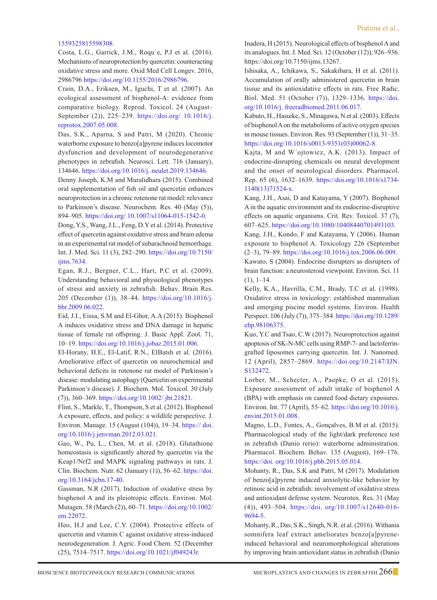#### 1559325815598308.

Costa, L.G., Garrick, J.M., Roqu`e, P.J et al. (2016). Mechanisms of neuroprotection by quercetin: counteracting oxidative stress and more. Oxid Med Cell Longev. 2016, 2986796 https://doi.org/10.1155/2016/2986796.

Crain, D.A., Eriksen, M., Iguchi, T et al. (2007). An ecological assessment of bisphenol-A: evidence from comparative biology. Reprod. Toxicol. 24 (August– September (2)), 225–239. https://doi.org/ 10.1016/j. reprotox.2007.05.008.

 Das, S.K., Aparna, S and Patri, M (2020). Chronic waterborne exposure to benzo[a]pyrene induces locomotor dysfunction and development of neurodegenerative phenotypes in zebrafish. Neurosci. Lett. 716 (January), 134646. https://doi.org/10.1016/j. neulet.2019.134646.

 Denny Joseph, K.M and Muralidhara (2015). Combined oral supplementation of fish oil and quercetin enhances neuroprotection in a chronic rotenone rat model: relevance to Parkinson's disease. Neurochem. Res. 40 (May (5)), 894–905. https://doi.org/ 10.1007/s11064-015-1542-0.

 Dong, Y.S., Wang, J.L., Feng, D.Y et al. (2014). Protective effect of quercetin against oxidative stress and brain edema in an experimental rat model of subarachnoid hemorrhage. Int. J. Med. Sci. 11 (3), 282–290. https://doi.org/10.7150/ ijms.7634.

 Egan, R.J., Bergner, C.L., Hart, P.C et al. (2009). Understanding behavioral and physiological phenotypes of stress and anxiety in zebrafish. Behav. Brain Res. 205 (December (1)), 38–44. https://doi.org/10.1016/j. bbr.2009.06.022.

 Eid, J.I., Eissa, S.M and El-Ghor, A.A (2015). Bisphenol A induces oxidative stress and DNA damage in hepatic tissue of female rat offspring. J. Basic Appl. Zool. 71, 10–19. https://doi.org/10.1016/j.jobaz.2015.01.006.

 El-Horany, H.E., El-Latif, R.N., ElBatsh et al. (2016). Ameliorative effect of quercetin on neurochemical and behavioral deficits in rotenone rat model of Parkinson's disease: modulating autophagy (Quercetin on experimental Parkinson's disease). J. Biochem. Mol. Toxicol. 30 (July (7)), 360–369. https://doi.org/10.1002/ jbt.21821.

 Flint, S., Markle, T., Thompson, S et al. (2012). Bisphenol A exposure, effects, and policy: a wildlife perspective. J. Environ. Manage. 15 (August (104)), 19–34. https:// doi. org/10.1016/j.jenvman.2012.03.021.

 Gao, W., Pu, L., Chen, M. et al. (2018). Glutathione homeostasis is significantly altered by quercetin via the Keap1/Nrf2 and MAPK signaling pathways in rats. J. Clin. Biochem. Nutr. 62 (January (1)), 56–62. https://doi. org/10.3164/jcbn.17-40.

 Gassman, N.R (2017). Induction of oxidative stress by bisphenol A and its pleiotropic effects. Environ. Mol. Mutagen. 58 (March (2)), 60–71. https://doi.org/10.1002/ em.22072.

 Heo, H.J and Lee, C.Y. (2004). Protective effects of quercetin and vitamin C against oxidative stress-induced neurodegeneration. J. Agric. Food Chem. 52 (December (25), 7514–7517. https://doi.org/10.1021/jf049243r.

Inadera, H (2015). Neurological effects of bisphenol A and its analogues. Int. J. Med. Sci. 12 (October (12)), 926–936. https://doi.org/10.7150/ijms.13267.

Ishisaka, A., Ichikawa, S., Sakakibara, H et al. (2011). Accumulation of orally administered quercetin in brain tissue and its antioxidative effects in rats. Free Radic. Biol. Med. 51 (October (7)), 1329–1336. https://doi. org/10.1016/j. freeradbiomed.2011.06.017.

Kabuto, H., Hasuike, S., Minagawa, N et al. (2003). Effects of bisphenol A on the metabolisms of active oxygen species in mouse tissues. Environ. Res. 93 (September (1)), 31–35. https://doi.org/10.1016/s0013-9351(03)00062-8.

Kajta, M and W´ojtowicz, A.K. (2013). Impact of endocrine-disrupting chemicals on neural development and the onset of neurological disorders. Pharmacol. Rep. 65 (6), 1632–1639. https://doi.org/10.1016/s1734- 1140(13)71524-x.

Kang, J.H., Asai, D and Katayama, Y (2007). Bisphenol A in the aquatic environment and its endocrine-disruptive effects on aquatic organisms. Crit. Rev. Toxicol. 37 (7), 607–625. https://doi.org/10.1080/10408440701493103.

Kang, J.H., Kondo, F and Katayama, Y (2006). Human exposure to bisphenol A. Toxicology 226 (September (2–3), 79–89. https://doi.org/10.1016/j.tox.2006.06.009.

Kawato, S (2004). Endocrine disrupters as disrupters of brain function: a neurosteroid viewpoint. Environ. Sci. 11  $(1), 1-14.$ 

Kelly, K.A., Havrilla, C.M., Brady, T.C et al. (1998). Oxidative stress in toxicology: established mammalian and emerging piscine model systems. Environ. Health Perspect. 106 (July (7)), 375–384. https://doi.org/10.1289/ ehp.98106375.

Kuo, Y.C and Tsao, C.W (2017). Neuroprotection against apoptosis of SK-N-MC cells using RMP-7- and lactoferringrafted liposomes carrying quercetin. Int. J. Nanomed. 12 (April), 2857–2869. https://doi.org/10.2147/IJN. S132472.

Lorber, M., Schecter, A., Paepke, O et al. (2015). Exposure assessment of adult intake of bisphenol A (BPA) with emphasis on canned food dietary exposures. Environ. Int. 77 (April), 55–62. https://doi.org/10.1016/j. envint.2015.01.008.

Magno, L.D., Fontes, A., Gonçalves, B.M et al. (2015). Pharmacological study of the light/dark preference test in zebrafish (Danio rerio): waterborne administration. Pharmacol. Biochem. Behav. 135 (August), 169–176. https://doi. org/10.1016/j.pbb.2015.05.014.

Mohanty, R., Das, S.K and Patri, M (2017). Modulation of benzo[a]pyrene induced anxiolytic-like behavior by retinoic acid in zebrafish: involvement of oxidative stress and antioxidant defense system. Neurotox. Res. 31 (May (4)), 493–504. https://doi. org/10.1007/s12640-016- 9694-5.

Mohanty, R., Das, S.K., Singh, N.R. et al. (2016). Withania somnifera leaf extract ameliorates benzo[a]pyreneinduced behavioral and neuromorphological alterations by improving brain antioxidant status in zebrafish (Danio